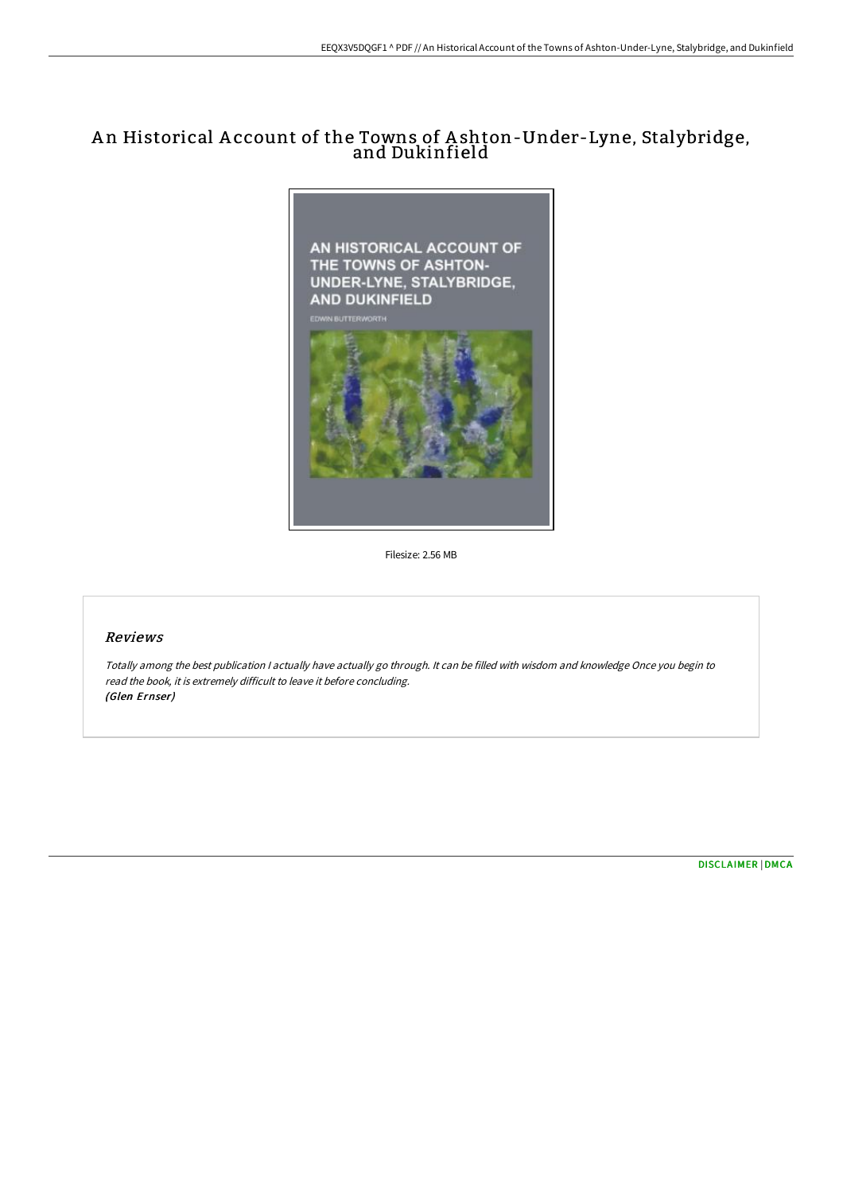# A n Historical A ccount of the Towns of A shton-Under-Lyne, Stalybridge, and Dukinfield



Filesize: 2.56 MB

## Reviews

Totally among the best publication <sup>I</sup> actually have actually go through. It can be filled with wisdom and knowledge Once you begin to read the book, it is extremely difficult to leave it before concluding. (Glen Ernser)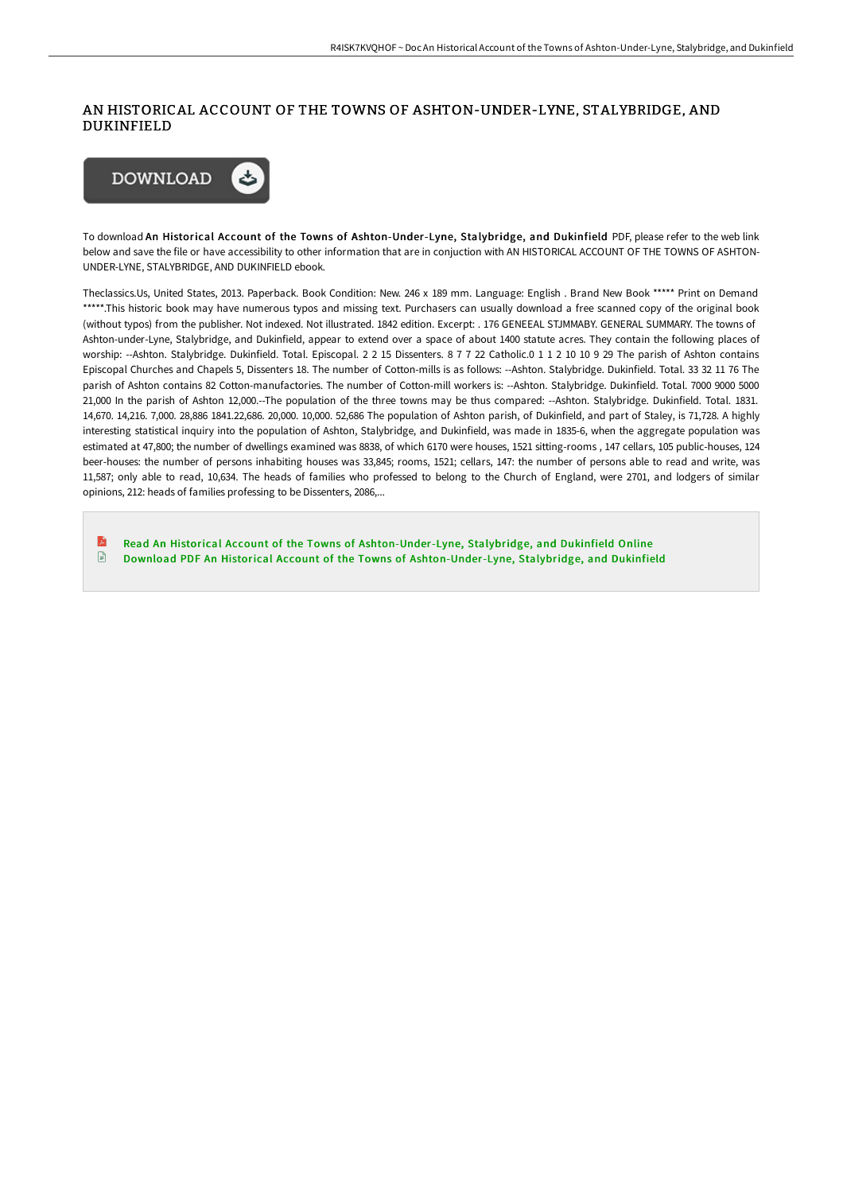### AN HISTORICAL ACCOUNT OF THE TOWNS OF ASHTON-UNDER-LYNE, STALYBRIDGE, AND DUKINFIELD



To download An Historical Account of the Towns of Ashton-Under-Lyne, Stalybridge, and Dukinfield PDF, please refer to the web link below and save the file or have accessibility to other information that are in conjuction with AN HISTORICAL ACCOUNT OF THE TOWNS OF ASHTON-UNDER-LYNE, STALYBRIDGE, AND DUKINFIELD ebook.

Theclassics.Us, United States, 2013. Paperback. Book Condition: New. 246 x 189 mm. Language: English . Brand New Book \*\*\*\*\* Print on Demand \*\*\*\*\*.This historic book may have numerous typos and missing text. Purchasers can usually download a free scanned copy of the original book (without typos) from the publisher. Not indexed. Not illustrated. 1842 edition. Excerpt: . 176 GENEEAL STJMMABY. GENERAL SUMMARY. The towns of Ashton-under-Lyne, Stalybridge, and Dukinfield, appear to extend over a space of about 1400 statute acres. They contain the following places of worship: --Ashton. Stalybridge. Dukinfield. Total. Episcopal. 2 2 15 Dissenters. 8 7 7 22 Catholic.0 1 1 2 10 10 9 29 The parish of Ashton contains Episcopal Churches and Chapels 5, Dissenters 18. The number of Cotton-mills is as follows: --Ashton. Stalybridge. Dukinfield. Total. 33 32 11 76 The parish of Ashton contains 82 Cotton-manufactories. The number of Cotton-mill workers is: --Ashton. Stalybridge. Dukinfield. Total. 7000 9000 5000 21,000 In the parish of Ashton 12,000.--The population of the three towns may be thus compared: --Ashton. Stalybridge. Dukinfield. Total. 1831. 14,670. 14,216. 7,000. 28,886 1841.22,686. 20,000. 10,000. 52,686 The population of Ashton parish, of Dukinfield, and part of Staley, is 71,728. A highly interesting statistical inquiry into the population of Ashton, Stalybridge, and Dukinfield, was made in 1835-6, when the aggregate population was estimated at 47,800; the number of dwellings examined was 8838, of which 6170 were houses, 1521 sitting-rooms , 147 cellars, 105 public-houses, 124 beer-houses: the number of persons inhabiting houses was 33,845; rooms, 1521; cellars, 147: the number of persons able to read and write, was 11,587; only able to read, 10,634. The heads of families who professed to belong to the Church of England, were 2701, and lodgers of similar opinions, 212: heads of families professing to be Dissenters, 2086,...

R Read An Historical Account of the Towns of [Ashton-Under-Lyne,](http://albedo.media/an-historical-account-of-the-towns-of-ashton-und.html) Stalybridge, and Dukinfield Online  $\Box$ Download PDF An Historical Account of the Towns of [Ashton-Under-Lyne,](http://albedo.media/an-historical-account-of-the-towns-of-ashton-und.html) Stalybridge, and Dukinfield